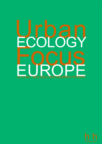# Urban FOLOGY<br>FOCUS MAY 2002 OSLO AND DRAMMEN, NORWAY

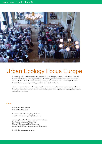

# Urban Ecology Focus Europe

A workshop and a conference with this theme took place during the period 22-24th May in Oslo and Drammen in Norway. It was organised by NABU (Norwegian architects for sustainable development) and the Hållbara Hem- (Sustainable homes) project, a joint venture between Boverket (the Swedish National Board of housing, building, planning) and the city of Malmö.

The conference in Drammen 24th was preceded by two intensive days of workshops run by NABU in Oslo. Here teams from projects around northern Europe sat down together and exchanged experiences and made comparisons.

#### about

June 2002 Malmö, Sweden Final edition 2002-06-27

Information: Eva Dalman, City of Malmö eva.dalman@malmo.se, +46 (0) 40 34 24 16

Text and photo: Eva Dalman (eva.dalman@malmo.se) Tor Fossum (tor.fossum@malmo.se) Michael Sillén (michael.sillen@malmo.se) Layout: Daniel Nilsson (daniel.k.nilsson@malmo.se)

Published at www.ekostaden.com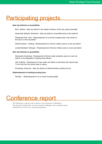# Participating projects

#### **New city districts on brownfields:**

Bo01, Malmö - New city district in the western harbour of the city, partly brownfield

Hammarby Sjöstad, Stockholm - New city district in brownfield area on the seafront

Pilestredet Park, Oslo - Redevelopment of on former hospital area in the centre of the city to a new city district

Distrikt Vauban , Freiburg - Redevelopment on former military area to a new city district

Loretto/Südstadt, Tübingen - Redevelopment of former military area to a new city district

#### **New city districts on greenfields:**

Gemeente Culemborg - Development of former water protection area to a new city district, to be integrated in existing urban fabrics.

Viiki, Helsinki - Development of new urban city district on farmland and natural area, 7 km's from the city centre close to nature

Kronsberg, Hannover - New city district on fertile farmland outside the city

#### **Redevelopment of existing housing area:**

Fairfield, - Redevelopment of a run down housing estate

# Conference report

The following is a report on the contents of the conference in Drammen. The first part contains brief overviews, thematic challenges and a workshop report. Followed by an overview of the presented projects.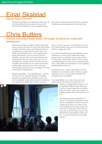### Einar Skalstad Deputy mayor Drammen

Greeted the participants and opened the conference. He also declared that the city was proud to host it and that the city had ambitions to get sustainable development and city planning started, and that the conference therefore was a great opportunity to listen and learn.

# Chris Butters

#### Architect and project leader NABU, Norwegian architects for sustainable development

Sustainable development implies a healthy relationship between culture and nature. No society can exist without a healthy natural base, hence environmental awareness and efficiency are crucial. But for society itself to be healthy and sustainable, factors such as participation, equity and democracy are just as crucial. Thus sustainability is not just about environmental design and technology, but has three main aspects: these are the ecological, the economic and the social. We must also remember that city limits are not natural system limits, and that urban ecology must be seen in connection with the larger region and rural surroundings. Town and countryside are interdependent.

Material sustainability - the quantifiable part - concerns all levels, from the molecular chemistry of building materials up to global climate. Similarly, social or cultural sustainability contains all levels, from the individual up to questions of global equity. And the economic

aspect is not just a question of what things cost, but of the overall economic system and of the processes with which we manage the world.

The urban development projects participating in these workshops can, loosely, all be called urban ecology projects in the sense that they concern large sections of urban fabric, and therefore address not just ecological building design, but wider issues of urban infrastructures, social qualities, the organisation of work, planning and participation processes.

Our profession has a major responsibility. In our age architecture is not complete, and is certainly not good architecture, if it is not reasonably sustainable. Two comments about sustainability:

One: Sustainability is not a style. It has more to do with processes and content, than with form. It's a

> question of making durable solutions - the word durable implies the time dimension as well as of many things that are invisible, below the surface - such as the contents of building materials. The architectural style can vary.

Two: Moving towards sustainability is to work in a certain direction. People ask what absolute sustainability would be in terms of a definite goal. There is no answer to this, even though Factor Four-type scenarios are useful for us at this point in time. We take steps, and we do know that we move in the right direction. Sustainability is always relative - to a specific historical context, place and time.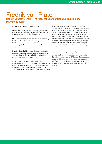# Fredrik von Platen

#### Deputy Director General, The National Board of Housing, Building and Planning (Boverket)

#### Sustainable Cities - an introduction

Fredrik von Platen gave in the opening speech an overview picture of the work going on in Sweden and the European Union to create sustainable cities.

One generation from now some 90 % of today existing buildings will still be standing. The long life span of buildings means that actions must be taken in the existing building stock to attain a sustainable built environment.

Even if existing buildings are to dominate for decades to come, it is not unimportant from an environmental viewpoint how we design our buildings today. It is important that new ideas show the way.

It is necessary to treat the entire building stock as an entity in a single system regardless of whether the buildings are old or new. Boverket has observed important advantages of the moderate-sized city with 50 000 - 100 000 inhabitants. The moderate-sized city has proven to combine many of qualities essential for a decent everyday life, including education and job opportunities, public and commercial services and cultural activities. The moderate city has good chances of making public transport economically feasible and of reducing the need for every day car commuting. Moderate cities also have the basic capacity to improve the eco-cycle symbiosis with the surrounding countryside, through biological production for local needs, and options for biological breakdown and recycling of surplus products, sewage and compost.

Ultimately our city environment is governed by our own behaviour in the city. The design of the city is of great importance. If my city is attractive, then I want to be there, do my shopping there. If I do my shopping there instead of driving to out-of-town shopping centres or neighbouring towns, then the customer potential will increase and services improve. A positive spiral will be initiated.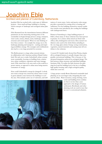### Joachim Eble Architect and planner of Culemborg, Netherlands

Joachim Eble has worked with a wide span of different projects - from small and large buildings to forming whole concepts of landscape and ecological urban planning.

Eble illustrated how the interrelations between different parameters are the interesting starting point of the sustainable/ecological design process: energy, transport, water cycles, wastes, climate, noise, landscape, urban structure and social aspects. When we start thinking of how these connect - for example the energy use to the landscape planning and transports - exciting and inspiring possibilities emerge. The synergies and combinations also lead to a very large potential for economy.

The Berlin project is a large urban renewal scheme in collaboration with American architect Daniel Liebeskind. His task was to make Liebeskind's urban concept more sustainable, focusing on building form, solarisation, urban ventilation, vegetation and water management. Eble stated that a city area such as this could be a power station, as opposed to urban areas being massive consumers of energy.

How could Liebeskind's concept be changed? A whole new water concept was conceived, where water is used in green climatic zones between the buildings to cool the area. This includes active use of rainwater, and infil-

tration of storm water. Active and passive solar energy provides a potential for coming close to heating selfsufficiency. For the buildings themselves natural ventilation systems were introduced, also cooling the buildings with underground ducts.

Prisma in Nuremberg is a large building project of Eble's, where many of these solutions have been proven in practice. It is a dense urban mixed-use block with offices, flats, kindergarten and stores. Here natural ventilation is also used in the whole block, including in the very large glass atrium. Energy saving construction, vegetation, natural materials and running water all contribute to the solutions.

A recent EU-funded study showed that Prisma, despite all its ecological features, is actually cheaper than comparable conventional buildings. This is because of the advanced integration achieved in ecological design. The link between urban structure and individual buildings fascinates Eble. To realise the links between the planning level and the building level is the key to building high quality housing, with a high ecological quality, which also costs less.

A large project outside Rome illustrated sustainable land planning on an even larger scale, integrating the rural and the urban. Water resources, energy farming, waste

> cycles and building form combine in what is no less than a new approach to the design of human settlements. Bioclimatic and other planning tools are used in ways that are new to conventional urbanists.

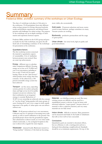# Summar

#### Frederica Miller, architect: summary of the workshops on Urban Ecology

Two days of workshops took place in Oslo prior to the conference. 35-40 participants from nine different urban ecology projects in Europe discussed methods, results and problems experienced, and debated future priorities and challenges for urban ecology. The purpose of the workshops was an in-depth exchange of information and experience between experts.

Frederica Miller, architect in the GAIA group and process leader for the Oslo workshops, was given the difficult task of formulating a summary of the workshops for presentation at the conference.

#### Quantitative factors:

The first workshop session concerned the material or quantitative aspects of sustainability. A lot of similarities between projects were noticed. Here are some top achievements:

Energy - different ways to calculate make comparisons difficult. Housing energy use as low as 65-70 kWh/m2/ year is not uncommon, including as low as only 15 kwh/m2 for space heating. There are also "plus-houses" which produce more energy than they consume. At the urban level, a 100 percent renewable energy system has been achieved.

Transport - car free areas, carpooling systems, priority for cyclists and pedestrians and high service level for public transport are proven solutions, but their combination in an integrated strategy is essential. Reductions of

more viable, also economically.

Solid waste - 30 percent reductions and more; wastes sorted in many fractions- perhaps sometimes too many. Vacuum systems are working.

Biodiversity - productive permaculture and the usage of green points.

Urban climate - low noise levels, high air quality and good microclimate.



30-40% in car ownership are achieved, with the concept of "car-free living" being popular with many groups of users. Getting rid of cars is not a target in itself, equally important is the quality of urban space one can achieve without cars.

Water - 20-40 percent reduced use is not uncommon. Collection and use of rainwater is becoming more widespread, as well as runoff infiltration to the ground. One greenfield project shows that the groundwater regime after urbanisation is almost exactly as it was when undisturbed countryside, i.e. the ecological footprint in this case is almost nil as regards the water impacts.

Wastewater - cleansed locally. Blackwater treated in a "living machine". Solutions of this kind are becoming

Materials - eco labelling systems are used. But many existing systems are difficult, and the need for a standardised system is obvious. It may be better with informed subjective "expert panels", because choice of material is often a subjective decision, and very many materials are not fully tested.

Indoor climate - difficult to measure. Many parameters can be measured and finally it's the health of inhabitants that tells us how well we have succeeded.

#### Conclusions:

Quantitative goals are essential to document effects, but eco-efficiency is only a starting point and not a final goal when planning a neighbourhood. Standards should be set as minimum requirements. On top of this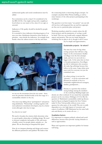architectural quality and social considerations must be added.

Eco-correctness can be a trap if it's considered to be the BIG GOAL. One might end up with a neighbourhood where no one wants to live, since it's too ugly or unsocial.

Indicators of life quality should be decided by people themselves.

It is essential to have indicators showing progress of an area over time. Inhabitants themselves must decide on priorities - must decide the indicators. An example from Seattle: when the salmon return to the bay and when



we can see the mountains from the city centre - these were the priorities decided locally in the first stage of a sustainability initiative in the city.

One must stop talking about "participation" and patronising inhabitants. "Partnership", working together with users/planners/consultants/developers, may be a better word, although it also has its traps.

#### So, what do we want?

We need to broaden the criteria which determine what is a good quality urban plan or building design. We need to increase complexity and quality of life, and create a healthy society for people, plants, animals, yes - the planet. We are discussing an integrated life space!

How do we integrate planning and design and connect the different parameters and qualities? We believe that

the connecting leads to interesting design concepts. An example is Joachim Ebles Prisma building, as well as many features of the other projects participating in the workshops.

The question is not how many "eco-points" one can tick off, but how well integrated they are and how appropriate they are in a particular place and project.

Workshop members asked for a matrix where the different projects and the parameters of ecology would be listed. This way one would easily compare different aspects and projects. This was not made during the workshop, but we plan to do it, though it will of necessity be simple and approximative..

Sustainable projects - for whom?

The time has come for big urban ecology projects that will have a big impact on the environment. Smaller ecovillages were the first attempts made, and now we can work in a bigger scale. At the same time we have to broaden perspectives. Ecovillages are full of enthusiasts who occasionally make big sufferings because they believe in the cause. Large urban areas must work for everyone, not just the committed ones.

So, urban ecology is not just for "greenies" - it can be convenient and pleasant for anybody to live in a sustainable neighbourhood: teenagers, families, grandparents…

Density is a question that awakens strong feelings among the members of the workshop. Building height and

density are often confused. It was stated that sustainable projects can be very dense (Tübingen 2.5-4.5). But the question of Manhattan's sustainability ended up discussing how big an ecological footprint the New Yorkers make? Is New York possible without severe consequences for other parts of the world? The city is totally dependent on a very high import of resources and export of pollution. (NB! Manhattan has the same built area and density as six stories all over…)

#### Qualitative factors:

It is important to compare political, cultural and social differences, because these provide varying obstacles as well as opportunities.

Water and vegetation are important qualities for human well being.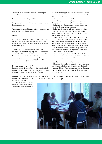Time saving: less time should be used for transport of self, children

Cost efficiency - including social housing

Integration of work and living - more sociable spaces, less transports, etc.

Transparency: it should be easy to follow processes and results. There must be openness.

#### Beauty

Efficient use of space is important: reduce use of area. Reduce use of green field sites. Reduce space use in buildings. And: high urban density demands higher quality of urban space.

After the goals of the welfare state, what are the basic goals of urban ecology? Quality of life could be described as "WC, PV (Volvo PV-model) and TV" in Sweden in the fifties. Now it's rather time, health and quality of place which are important qualities of life. So a new variant was suggested: "NP, NP and NP": no pills - no pain - nice place!

#### How do we achieve all this?

Lessons learned? The members of the workshop had many concrete recommendations concerning processes. Here are a few of the main points put forward!

- Process - we have to be inventive! There is no "onemethod", all sites and situations are different and call for different approaches.

- Top down and bottom up per-
- spectives have to be combined!
- Continuity in the process is cru-

cial: in the planning process, the built project and in use. Secure the organisation and the staff (people who will deliver green solutions).

- Set up clear targets and a solid framework! - Have clear contracts and fight battles early to nail things down - create responsible partnerships.

- Enthusiasts and champions are essential for the success of projects, at least at this stage.

- Define what is a public task and what can be private - you might be surprised to find new solutions. But: private markets will never provide mixed tenure - this needs public intervention.

- Closed Budgets - feed income back into the project. - Offer carrots, not sticks. Incentives and benefits are best for people to make green choices. (Freiburg example: no private car: 50 % reduced price train; reduced price for house without parking made visible to buyers). - Steal ideas from others! There are many good examples already, we don't need to experiment all the time. - Have patience. Green takes time.

- Need to re-program architects and builders. Make programs that insist on ecological solutions and they will build green programs. They don't have to be dedicated, just motivated.

- Good communication - workshops and seminars. - Education - the need to educate clients and administrators about sustainability and about the complexity of successful delivery. This needs more resources than conventional planning, but: if you think education's expensive - try ignorance….

Finally, the most important practical advice from one of the members: J F D I - Just ….do it!

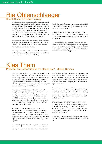## Rie Öhlenschlaeger Danish Center for Urban Ecology

No Danish projects were presented at the conference, it was stressed that there is a lot of work being done on ecological design in Denmark, but there is no project at quite the same scale as was the focus of the workshops. Rie Öhlenschlaeger, Danish architect and manager for the Danish Center for Urban Ecology gave some short comments concerning the work for sustainable building and planning. Five different issues were stressed.

Her first remark was about information. She stated that there is a lack of channels and networks in this field of interest. Here there is much still to be done, and this conference was an important step.

Secondly she pointed out the need for declarations of building materials and components. There should be an international standard with eco-labelling.

Thirdly the need of new products was mentioned. Still there is a lack of smart sustainable building products. Inventors must be encouraged.

Fourthly she called for more benchmarking. There should be international standards set for deciding environmental values of the different projects, and for evaluating results.

The last and fifth point concerned taxation and economics. If sustainable building would be less expensive than the conventional it would be preferred on a wider scale. A way of achieving this could be to put an environmental tax on unhealthy products.

### las I Professor and responsible for the plan at Bo01, Malmö, Sweden

Klas Tham discussed property value in economic terms. He stated that the location is the wholly dominant factor for deciding property value. But value is also connected to the attractiveness of the building and it's surroundings, the technical quality and the usability. In a less attractive spot architectural quality can improve property value and make a significant difference.

Tham explained that if you don't build attractively enough, you might soon face decline. People won't pay enough care and attention to buildings or spaces they don't feel attached to, and this will lead to need for refurbishing and renovation projects with short intervals. In the end this will prove to be more expensive. In the long term the project has cost twice as much as an attractive one would have done!

What are the challenges for architects? Klas Tham stressed the importance of the built environment in terms of giving support to the individual's needs. It provides strength to fulfil our full capacity. He referred to Belgian architect Lucien Kroll: Sustainability starts with equality. How does the environment affect us psychologically?

How can city plans and design support sustainability? There are all the well-known quantifiable aspects concerning houses oriented to catch passive solar energy,

dense building etc. But there are also social aspects that have to be mentioned. The need of consideration for children, disabled, old people. This should be done for both human and economic reasons. Good design for disabled is a benefit for everyone, the environment is improved for us all.

Finally there are the less quantifiable aspects, the sensual and emotional ones. Man has a need for order, but also of complexity, mystery and surprise. Nature and foliage have proven to be very useful tools to create these values, and the vegetation is a very important part of the Bo01-project.

-If we really want to build a wonderful city we must learn more about these less quantifiable aspects, Klas Tham said. We must argue for and find convincing architectural designs that strengthen people and make them feel well. This should make sustainable building "trendy" and demanded.

According to Tham there is absolutely no contradiction between sustainable architecture and high-class architecture.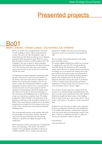# Presented projects

### Bo01 Malmö, Sweden, Christer Larsson, City Architect, City of Malmö

Bo01 is an entirely new, ecological district with room for 600 dwellings as well as offices, shops and other services. The area is the first development stage of Västra Hamnen (The Western harbour) one of Malmö's prioritised urban development areas. When the area is fully developed it will house 10.000 residents and 7.000 workplaces. The area is typical of urban redundant industrial land with contamination and affected environment. The area has, at the same time, many positive aspects in its location by the sea and next to the beach and the city centre.

A fundamental ecological approach to planning, building and construction is a key tool in the creation of the district. Innovative ideas and new techniques will enhance the environmental standard of the area. In order to realise the environmental ambitions a quality programme has been worked out as a consensus document between the city, the expo organisers and the developers. The programme defines the quality standards that have to be met by those who participate in the construction and building process, as standards for energy use, material use and green issues. The quality programme is directly linked to the agreement on the granting of land between the developers and the City of Malmö. This means that the requirements of the quality programme are accepted by the developers and are part of all of their commitments concerning the individual building project.

The environmental measures work together with architectural qualities far beyond the ordinary. The developers hire well-reputed Swedish and international architects to guarantee the highly set targets for the architecture.

Man's interaction with the environment is a fundamental factor in the planning of the district. The district is designed to be ecologically sustainable. It will also be socially sustainable. Access to green areas and water,

utilisation of daylight, and varied visual and auditory impressions create an environment where people feel well.

The new district is provided exclusively with energy from renewable sources.

The energy supplier Sydkraft has worked out a concept of supplying the area with 100 % locally produced renewable energy. The demand for 100% renewable energy means that there is a balance between production and energy use on an annual basis. Energy used in the area should, at some point in time, be produced there. The new electricity grid and district heating network is linked to the existing systems of the city in order to bridge the time-lapse between the point of production and use of energy, without the need for specialised equipment for energy storage. The city's system is used as an accumulator and as a reserve supply.

The structure of green space has a central role in the creation of an environmentally sustainable district. The aim is to create a green and pleasant area which optimise biodiversity, despite the dense nature of the building. Tools to reach the aim are a "green space factor", "green points" and creation of biotopes in a newly constructed park.

Emphasis has also been put on traffic issues with priority given to pedestrians and bicycles, and establishment of a mobility office that gives residents and companies in the area advice about environmentally sensitive transport. A carpool is established and there is a filling station for gas and electric vehicles in the area.

www.malmo.se www.ekostaden.com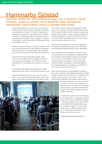# Hammarby Sjöstad

Stockholm, Kerstin Blix, Environmental manager, City of Stockholm, Henrik Holmgren, project co-ordinator, City of Stockholm waste management administration, Kerstin Ekbom, project co-ordinator, Birka Energi

In Hammarby Sjöstad a run-down port and industrial district is being transformed into a modern, ecologically sustainable part of the city. The district is being transformed into a modern city area that will form a logical extension of Södermalm, with 8, 000 apartments housing a population of 20,000. After completion of all parts of the project in 2010 there will be 30,000 people living and working in the area.

Hammarby Sjöstad will have an inner-city character with new, exciting architecture. Unique qualities and opportunities flow from the waterside location and the proximity of both the inner city and the Nacka Nature Reserve.

The aim for the area is that negative effect on the environment should be halved, compared with that of other modern developments. New solutions and the commitment of the residents are necessary to reach the goal.

An ambitious redevelopment programme was implemented before the start of the actual construction work.

Hammarby Sjöstad will have its own ecocycle model with its own sewage treatment plant, where waste water will be treated, the heat will be recovered and any nutri-

ents will be recycled using new technology to enable them to be returned to agricultural land. Surface water will be cleaned locally and will not impose a load on the sewage treatment plant. Energy will be produced in the district heating plant in the area and will be based on renewable fuels. Combustible waste from the area will also be recycled in the form of heat.

This model for energy, waste and water management is known as the Hammarby model. It was developed jointly by Birka Energi, Stockholm Vatten and Skafab.

The commitment of the residents is essential to this environmental work. Good practical arrangements for the sorting of waste products at source and recycling are necessary, as is the ability to monitor one's own energy and water consumption via the internal data network. Energy consumption is accurately adjusted. For example, lighting and ventilation are switched on only when someone enters the room.

Information technology is being applied to minimise the need for transport within Hammarby Sjöstad. Public transport will take priority with the new Tvärbanan tram service and a boat service into the city centre. A car pool is being established, and residents will be able to

> join this and request a car when they need one. The cars in the car pool will also be modified to run on biogas from the sewage treatment plant. An Environmental Information Centre will be opened to provide residents with help.

> Considerable concern for the environment is also being shown in conjunction with the actual construction of Hammarby Sjöstad. As much as possible of the oak woodland on the Sickla Udde headland will be preserved, and an ecoduct - a "green" and broad viaduct - will link this part of the city to the natural environment of the Nackareservat nature reserve.

www.hammarbysjostad.stockholm.se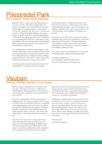### Pilestredet Park Erik Engeseth, Project leader Statsbygg

Pilestredet Park is a large urban renewable program in the centre of Oslo, with urban ecological aims. The project is developed on the old hospital area left empty when a large new hospital complex on the outskirts of Oslo was completed. The area covers 7 hectares and consists of all the old hospital buildings with various degrees of quality or decay. It contained approximately 11.000 m2 of floor space, and will consist of 85.000 m2 new construction and 5.000 m2 of renovation of existing buildings. The area will contain about 650 dwellings, offices and commercial premises. The outdoor area to be landscaped as public spaces.

As a starting point an Urban Ecology Program was formulated which points out seven main focus areas; Urban environmental qualities, Infrastructures, Selective demolition, Maximum reuse of existing of existing buildings, Integrated design of urban areas as urban ecology park, Environmental architecture, Energy conservation.

An environmental assessment program has been developed (MOP), as a concrete tool for achieving the

environmental targets. It stipulates procedures to be followed in the process to which ensure good environmental planning and quality control. The program is an obligatory agreement that is part of the contract of sale to the developers, and is binding for Stasbygg's own projects.

The project has by 2002 mostly consisted of selective demolition with careful waste management of the buildings selected for demolition. One interesting project to be realised is a project where reused and recycled materials from the demolitions are going to be used in a new building containing 45 flats.

The outdoor spaces are being planned as an integrated landscaping project applying ecological principles.

www.pilestredetpark.com www.statsbygg.no/prosjekter/pilestredet/ (both with information in Norwegian only)

### Vauban Freiburg, Christian Sperling, Forum Vauban

District Vauban is being built on an old military area. The area is 38 hectares will consist of 2000 flats for 5000 inhabitants. Planning started in 1993 and the first districts have been constructed, construction will continue till 2006.

The area is constructed by private investors, and cobuilding groups. The project is organised with co-operation between the city and NGOs. The city is responsible for the planning process, Forum Vauban is an organising body for extended citizen participation. Citizen participation is important in both building projects and public and green spaces in the area. And citizens with a high degree of environmental awareness inhabit the area.

Main focuses for the project is energy and transportation and traffic. The target 65 kwh/m2 is set for energy use for heating in buildings. In addition about 100 units with passive houses (15kwh/m2) or "plus energy" houses that actually produce more energy than they consume has been built and more are planned.

Solar panels (about 450 m2) and photovoltaic (1200 m2) help provide the energy needed. Energy for the area is provided mainly with a co-generation plant operating on wood chips that will be implemented in 2002 and connected to the districts heating grid.

Inhabitants are urged to sign a car free treaty, and 40 % has already done so. The costs of parking are separated from the costs of the flats, so that car users have to pay extra for parking spaces. The area consists of different neighbourhoods, a part of it is totally car free, promoting a different use of the areas in front of the houses and the streets. Parking is possible at two points in the area, one solar garage with photovoltaics has been constructed.

www.vauban.de www.forum-vauban.de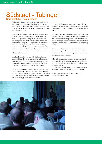### Südstadt - Tübingen Cord Soehlke, Project leader

Südstadt is a former French military base 3 kilometres from Tübingen city centre. The planning for the area aims to create a dense and diverse urban structure. New buildings are added to complement the existing barracks from the military era.

The area is divided and sold in plots of different sizes in older to get as mixed group of inhabitants in the area. The high demand for plots has given the City of Tübingen to opportunity to choose to whom they wanted to sell the plots. No big developers have been given opportunity to by plots in Südstadt. Building co-ops and so-called "baugruppen" has priority to the plots to commercial developers. Potential plot owners with the best concepts have also been given priority when land has been sold.

Small-scale building projects with the lack of strong commercial developers have resulted in reduced construction costs. The non-commercial actors construct houses with just the comfort demanded by the tenants in the same time as costs for marketing is avoided.

The preferences to sell to developers with strong concepts have created a diverse area. There is a co-operatively run home for elderly; there are solar houses and so on. Some houses on the other hand are where ordinary and some are ugly, in the eyes of architects.

The potential developers have been forces to fill the bottom floors of the houses with commercial activities in order to get a living city district and an urban atmosphere.

The density makes it necessary to keep cars away from the area. Parking garages are built in the fringes of the area. The cost of the properties is separated from the cost of parking in a way that non-car owner don't have to pay for the building and maintenance of the parking facilities.

Environmental conditions are agreed upon when the City of Tübingen sells plots to the developers. Minimum conditions on, for example energy use, in the building are regulated in the contracts.

Solar cells for electricity production and solar panels for production of heath water are popular in the area. 20 % of the buildings are equipped with solar energy production units.

The maximum use of heating in the buildings is regulated to a maximum of 65 kWh per square metre.

www.inro.tno.nl/transland/cases\_nonprio/ T%C3%BCbingen.PDF

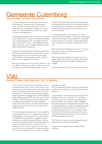# Gemeente Culemborg

#### Joachim Eble, architect and planner

A new housing area is constructed on a former water protection area 2 kilometres from Culemborg city centre. The 40 acre big area is planned to be well integrated in the city landscape. Culemborg is a small dutch city of 25.000 inhabitants, and the new district will house 2.000 inhabitants.

A developing master plan with a framework for possible actions and measures is the base of the project together with a quality programme. The area display mixed use with a combination of offices and dwellings, the office blocks situated on a close by highly trafficked road as a shield for the interior housing area.

Gemeente Culemborg will be self-sufficient with 100% renewable energy through sun, wind, ground water and biogas, and the houses are constructed to be energy neutral. Passive solar architecture as well as solar production units are applied on the houses.

Resource management is one of the key elements of the area. Different measures are taken to close the ecocycles as locally as possible. Permacultural design is used to

integrate landscaping and local treatment and cleaning of rainwater and wastewater. Grey and black wastewater is managed locally and nutrients are recirculated in the area in the same permaculture system, which provide the area with food.

A strong participation of the tenants is one of the characteristics of the projects. The project is lacking big commercial developers. The developers are responsible for the maintenance of the area, through membership in an association for companies and developers in the area

Parts of Gemeente Culemborg are car free. A care sharing system is set up a in order to make private car ownership unnecessary.

The environmental standards and targets reached are higher in the project than new governmental proposals and guidelines for new sustainable development and building.

www.eva-lanxmeer.nl (Link to one project in the area)

### Viiki Helsinki Finland, Riita Jalkanen, City Of Helsinki

Viiki is a new city district 8 km from Helsinki centre in an agricultural area close to nature. The total area is 65 hectares big and will contain a science park, and residential areas. The science Park is the centre of the area. It will consist of a University campus, university facilities, business incubators, shopping centre, residential blocks, public buildings and parks. The area will care for 13000 inhabitants, 6000 work places and 6000 students when it is fully developed 2010. In the largest residential area Latokarto, there will be a special experimental econeighbourhood of about 24 hectares, for about 1700 residents, by 2003.

The environmental characteristics of the eco-neighbourhood are guided by a set of eco-criteria drawn up by an interdisciplinary working group. The eco-criteria define the minimum level each project is required to achieve in relation to five different aspects; Pollution, Natural resources, Health, Bio-diversity and Growing food. The criteria set the standard of 20 % reduction of Co2 emissions, and use of water. Energy use is set to 105 kwh/m2 /year for heating and 45 for electricity which is 60 % of normal energy use. Toxic or dubious building

materials are avoided.

The extra financing needed to achieve the requirements is estimated to be around 5 %, which will be recovered during use.

A special district solar heating project provides half the heating needed for hot water and 13 % of heating. A Garden centre and a local park containing an Ecopark for children and youngsters will be established. The landscaping aims at retaining both agricultural and existing landscape features and are integrating rainwater management through a wetland area with a moved and restored stream. The use of native plants ensures bio-diversity. Potential for growing food in the area is ensured by planting edible species and the inclusion of allotments integrated in the area.

The Viiki project ensures social mix through national regulations on percentage of rental flats.

www.hel.fi/ksv/English/projects/Viikki\_Kivikko/ viikki.html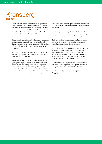# Kronsberg Hannover,

The Kronsberg district is constructed on agricultural land close by the Expo site in Hannover. The district will when completed contain 6000 dwellings for 15000 people. The area covers 140 hectares. Planning process started in 1990 and construction ten years later. The project developed after the agenda 21 document was launched in -92.

The district is realised through existing economic conditions, on market demands and with normal solutions. Economic support has been given through EU funding of a solar district, and the area contains social mixed housing.

Important sustainable issues in the project are sustainable land use, Urban design with green qualities and reduction of CO2 emissions.

As the project is constructed on very fertile land the good quality topsoil has been taken care of and been reused in the landscaping. Water, soil and vegetation have been used as elements in the quality of life in the area. It has been important to secure the existing ground water levels through infiltration of rainwater in an open permeable run off system. Landscaping and

green areas enhance natural production and biodiversity. The area contains a larger diversity after the exploitation than before.

Urban design has been equally important, with urban structures combined with green features as green fingers into the urban structure and neighbourhood parks,

Environmental impact assessment has been used as a tool to reach the aims when choosing construction methods, materials and technical solutions.

60 % reduction in CO2 emissions compared to current standards for conventional residential buildings is a target for the district. This is reached through Low energy building methods, energy provision by two cogeneration plants, integrated wind and solar energy projects. Reduction after 2 years is 50 %.

Communication on the project with residents and visitors is considered important and a special communication agency (KUKA) is established in the area.

www.hannover.de/deutsch/wohnen/planen/ aktu\_pla/kronsb.htm